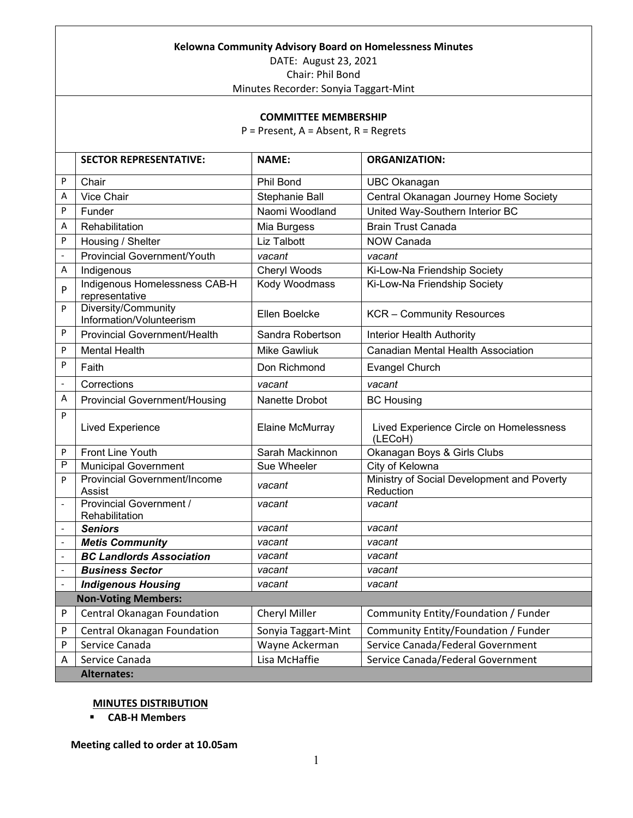| Kelowna Community Advisory Board on Homelessness Minutes |                                                 |                     |                                                         |  |
|----------------------------------------------------------|-------------------------------------------------|---------------------|---------------------------------------------------------|--|
| DATE: August 23, 2021                                    |                                                 |                     |                                                         |  |
| Chair: Phil Bond                                         |                                                 |                     |                                                         |  |
| Minutes Recorder: Sonyia Taggart-Mint                    |                                                 |                     |                                                         |  |
|                                                          |                                                 |                     |                                                         |  |
| <b>COMMITTEE MEMBERSHIP</b>                              |                                                 |                     |                                                         |  |
| $P =$ Present, A = Absent, R = Regrets                   |                                                 |                     |                                                         |  |
|                                                          |                                                 |                     |                                                         |  |
|                                                          | <b>SECTOR REPRESENTATIVE:</b>                   | <b>NAME:</b>        | <b>ORGANIZATION:</b>                                    |  |
| P                                                        | Chair                                           | Phil Bond           | UBC Okanagan                                            |  |
| Α                                                        | <b>Vice Chair</b>                               | Stephanie Ball      | Central Okanagan Journey Home Society                   |  |
| P                                                        | Funder                                          | Naomi Woodland      | United Way-Southern Interior BC                         |  |
| А                                                        | Rehabilitation                                  | Mia Burgess         | <b>Brain Trust Canada</b>                               |  |
| P                                                        | Housing / Shelter                               | Liz Talbott         | <b>NOW Canada</b>                                       |  |
|                                                          | <b>Provincial Government/Youth</b>              | vacant              | vacant                                                  |  |
| А                                                        | Indigenous                                      | Cheryl Woods        | Ki-Low-Na Friendship Society                            |  |
| P                                                        | Indigenous Homelessness CAB-H<br>representative | Kody Woodmass       | Ki-Low-Na Friendship Society                            |  |
| P                                                        | Diversity/Community<br>Information/Volunteerism | Ellen Boelcke       | <b>KCR</b> – Community Resources                        |  |
| P                                                        | <b>Provincial Government/Health</b>             | Sandra Robertson    | <b>Interior Health Authority</b>                        |  |
| P                                                        | <b>Mental Health</b>                            | <b>Mike Gawliuk</b> | <b>Canadian Mental Health Association</b>               |  |
| P                                                        | Faith                                           | Don Richmond        | <b>Evangel Church</b>                                   |  |
| $\qquad \qquad \blacksquare$                             | Corrections                                     | vacant              | vacant                                                  |  |
| А                                                        | <b>Provincial Government/Housing</b>            | Nanette Drobot      | <b>BC Housing</b>                                       |  |
| P                                                        | <b>Lived Experience</b>                         | Elaine McMurray     | Lived Experience Circle on Homelessness<br>(LECoH)      |  |
| P                                                        | <b>Front Line Youth</b>                         | Sarah Mackinnon     | Okanagan Boys & Girls Clubs                             |  |
| P                                                        | <b>Municipal Government</b>                     | Sue Wheeler         | City of Kelowna                                         |  |
| P                                                        | <b>Provincial Government/Income</b><br>Assist   | vacant              | Ministry of Social Development and Poverty<br>Reduction |  |
| $\overline{\phantom{0}}$                                 | Provincial Government /<br>Rehabilitation       | vacant              | vacant                                                  |  |
| $\qquad \qquad \blacksquare$                             | <b>Seniors</b>                                  | vacant              | vacant                                                  |  |
| $\overline{\phantom{0}}$                                 | <b>Metis Community</b>                          | vacant              | vacant                                                  |  |
| $\qquad \qquad \blacksquare$                             | <b>BC Landlords Association</b>                 | vacant              | vacant                                                  |  |
| $\qquad \qquad \blacksquare$                             | <b>Business Sector</b>                          | vacant              | vacant                                                  |  |
|                                                          | <b>Indigenous Housing</b>                       | vacant              | vacant                                                  |  |
| <b>Non-Voting Members:</b>                               |                                                 |                     |                                                         |  |
| P                                                        | Central Okanagan Foundation                     | Cheryl Miller       | Community Entity/Foundation / Funder                    |  |
| P                                                        | Central Okanagan Foundation                     | Sonyia Taggart-Mint | Community Entity/Foundation / Funder                    |  |
| P                                                        | Service Canada                                  | Wayne Ackerman      | Service Canada/Federal Government                       |  |
| Α                                                        | Service Canada                                  | Lisa McHaffie       | Service Canada/Federal Government                       |  |
|                                                          | <b>Alternates:</b>                              |                     |                                                         |  |

## **MINUTES DISTRIBUTION**

**CAB-H Members**

**Meeting called to order at 10.05am**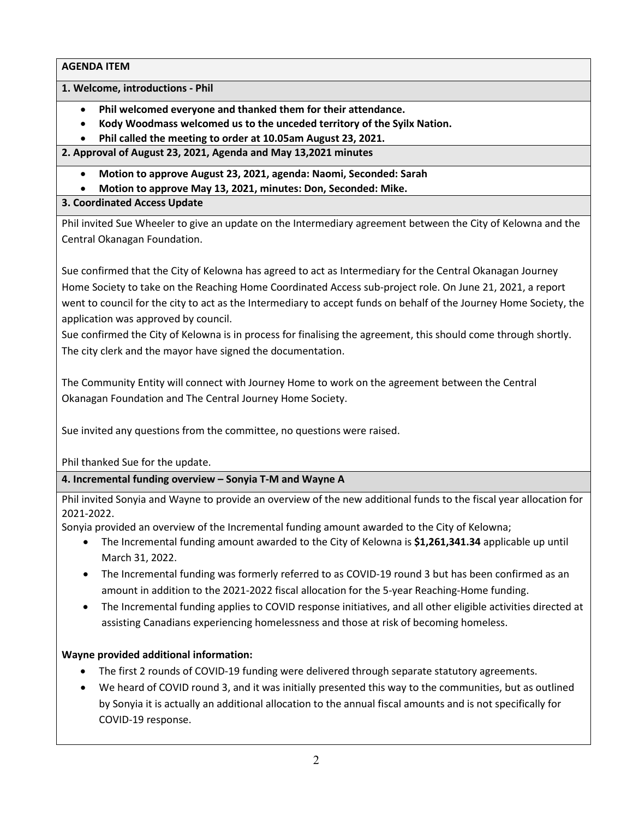**1. Welcome, introductions - Phil**

- **Phil welcomed everyone and thanked them for their attendance.**
- **Kody Woodmass welcomed us to the unceded territory of the Syilx Nation.**
- **Phil called the meeting to order at 10.05am August 23, 2021.**

**2. Approval of August 23, 2021, Agenda and May 13,2021 minutes**

- **Motion to approve August 23, 2021, agenda: Naomi, Seconded: Sarah**
- **Motion to approve May 13, 2021, minutes: Don, Seconded: Mike.**

## **3. Coordinated Access Update**

Phil invited Sue Wheeler to give an update on the Intermediary agreement between the City of Kelowna and the Central Okanagan Foundation.

Sue confirmed that the City of Kelowna has agreed to act as Intermediary for the Central Okanagan Journey Home Society to take on the Reaching Home Coordinated Access sub-project role. On June 21, 2021, a report went to council for the city to act as the Intermediary to accept funds on behalf of the Journey Home Society, the application was approved by council.

Sue confirmed the City of Kelowna is in process for finalising the agreement, this should come through shortly. The city clerk and the mayor have signed the documentation.

The Community Entity will connect with Journey Home to work on the agreement between the Central Okanagan Foundation and The Central Journey Home Society.

Sue invited any questions from the committee, no questions were raised.

Phil thanked Sue for the update.

# **4. Incremental funding overview – Sonyia T-M and Wayne A**

Phil invited Sonyia and Wayne to provide an overview of the new additional funds to the fiscal year allocation for 2021-2022.

Sonyia provided an overview of the Incremental funding amount awarded to the City of Kelowna;

- The Incremental funding amount awarded to the City of Kelowna is **\$1,261,341.34** applicable up until March 31, 2022.
- The Incremental funding was formerly referred to as COVID-19 round 3 but has been confirmed as an amount in addition to the 2021-2022 fiscal allocation for the 5-year Reaching-Home funding.
- The Incremental funding applies to COVID response initiatives, and all other eligible activities directed at assisting Canadians experiencing homelessness and those at risk of becoming homeless.

# **Wayne provided additional information:**

- The first 2 rounds of COVID-19 funding were delivered through separate statutory agreements.
- We heard of COVID round 3, and it was initially presented this way to the communities, but as outlined by Sonyia it is actually an additional allocation to the annual fiscal amounts and is not specifically for COVID-19 response.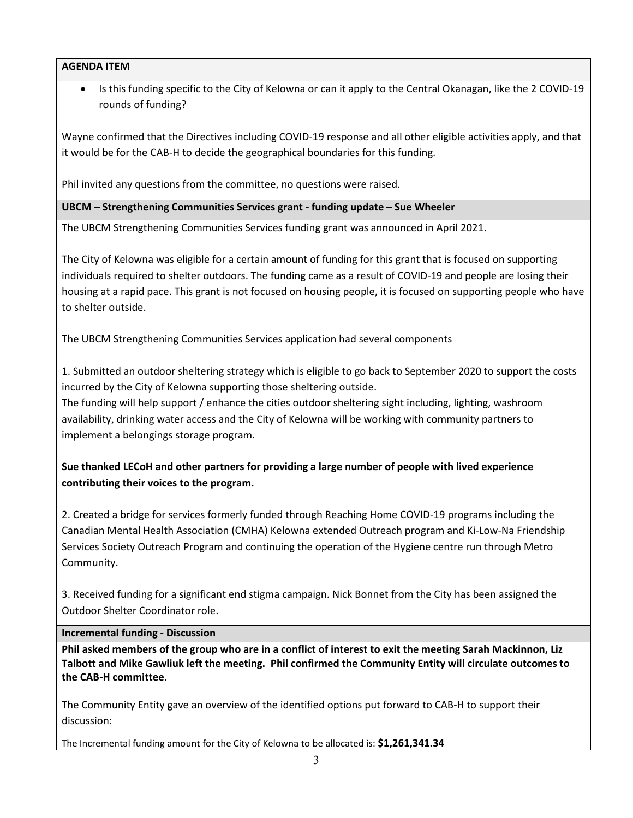• Is this funding specific to the City of Kelowna or can it apply to the Central Okanagan, like the 2 COVID-19 rounds of funding?

Wayne confirmed that the Directives including COVID-19 response and all other eligible activities apply, and that it would be for the CAB-H to decide the geographical boundaries for this funding.

Phil invited any questions from the committee, no questions were raised.

**UBCM – Strengthening Communities Services grant - funding update – Sue Wheeler**

The UBCM Strengthening Communities Services funding grant was announced in April 2021.

The City of Kelowna was eligible for a certain amount of funding for this grant that is focused on supporting individuals required to shelter outdoors. The funding came as a result of COVID-19 and people are losing their housing at a rapid pace. This grant is not focused on housing people, it is focused on supporting people who have to shelter outside.

The UBCM Strengthening Communities Services application had several components

1. Submitted an outdoor sheltering strategy which is eligible to go back to September 2020 to support the costs incurred by the City of Kelowna supporting those sheltering outside.

The funding will help support / enhance the cities outdoor sheltering sight including, lighting, washroom availability, drinking water access and the City of Kelowna will be working with community partners to implement a belongings storage program.

# **Sue thanked LECoH and other partners for providing a large number of people with lived experience contributing their voices to the program.**

2. Created a bridge for services formerly funded through Reaching Home COVID-19 programs including the Canadian Mental Health Association (CMHA) Kelowna extended Outreach program and Ki-Low-Na Friendship Services Society Outreach Program and continuing the operation of the Hygiene centre run through Metro Community.

3. Received funding for a significant end stigma campaign. Nick Bonnet from the City has been assigned the Outdoor Shelter Coordinator role.

### **Incremental funding - Discussion**

**Phil asked members of the group who are in a conflict of interest to exit the meeting Sarah Mackinnon, Liz Talbott and Mike Gawliuk left the meeting. Phil confirmed the Community Entity will circulate outcomes to the CAB-H committee.** 

The Community Entity gave an overview of the identified options put forward to CAB-H to support their discussion:

The Incremental funding amount for the City of Kelowna to be allocated is: **\$1,261,341.34**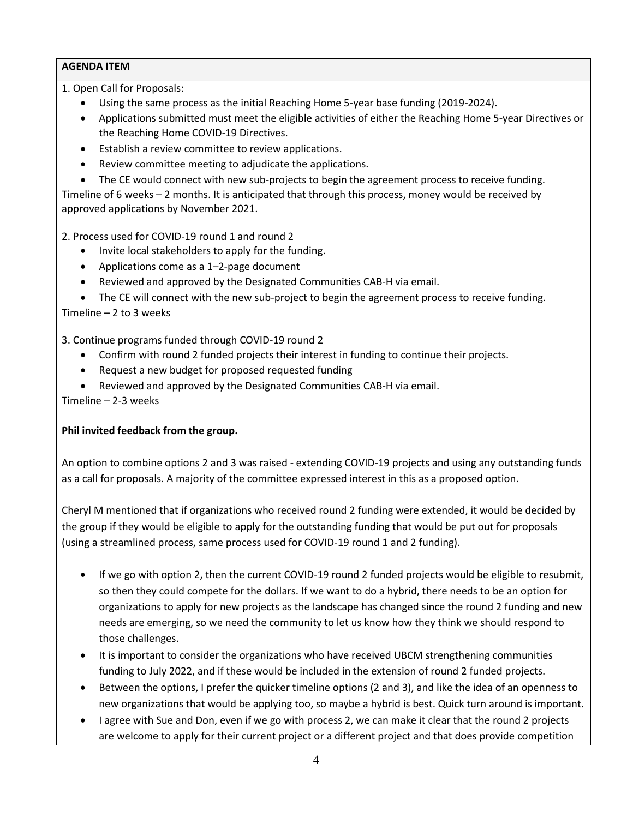1. Open Call for Proposals:

- Using the same process as the initial Reaching Home 5-year base funding (2019-2024).
- Applications submitted must meet the eligible activities of either the Reaching Home 5-year Directives or the Reaching Home COVID-19 Directives.
- Establish a review committee to review applications.
- Review committee meeting to adjudicate the applications.
- The CE would connect with new sub-projects to begin the agreement process to receive funding.

Timeline of 6 weeks – 2 months. It is anticipated that through this process, money would be received by approved applications by November 2021.

2. Process used for COVID-19 round 1 and round 2

- Invite local stakeholders to apply for the funding.
- Applications come as a 1–2-page document
- Reviewed and approved by the Designated Communities CAB-H via email.

• The CE will connect with the new sub-project to begin the agreement process to receive funding. Timeline – 2 to 3 weeks

3. Continue programs funded through COVID-19 round 2

- Confirm with round 2 funded projects their interest in funding to continue their projects.
- Request a new budget for proposed requested funding
- Reviewed and approved by the Designated Communities CAB-H via email.

Timeline – 2-3 weeks

### **Phil invited feedback from the group.**

An option to combine options 2 and 3 was raised - extending COVID-19 projects and using any outstanding funds as a call for proposals. A majority of the committee expressed interest in this as a proposed option.

Cheryl M mentioned that if organizations who received round 2 funding were extended, it would be decided by the group if they would be eligible to apply for the outstanding funding that would be put out for proposals (using a streamlined process, same process used for COVID-19 round 1 and 2 funding).

- If we go with option 2, then the current COVID-19 round 2 funded projects would be eligible to resubmit, so then they could compete for the dollars. If we want to do a hybrid, there needs to be an option for organizations to apply for new projects as the landscape has changed since the round 2 funding and new needs are emerging, so we need the community to let us know how they think we should respond to those challenges.
- It is important to consider the organizations who have received UBCM strengthening communities funding to July 2022, and if these would be included in the extension of round 2 funded projects.
- Between the options, I prefer the quicker timeline options (2 and 3), and like the idea of an openness to new organizations that would be applying too, so maybe a hybrid is best. Quick turn around is important.
- I agree with Sue and Don, even if we go with process 2, we can make it clear that the round 2 projects are welcome to apply for their current project or a different project and that does provide competition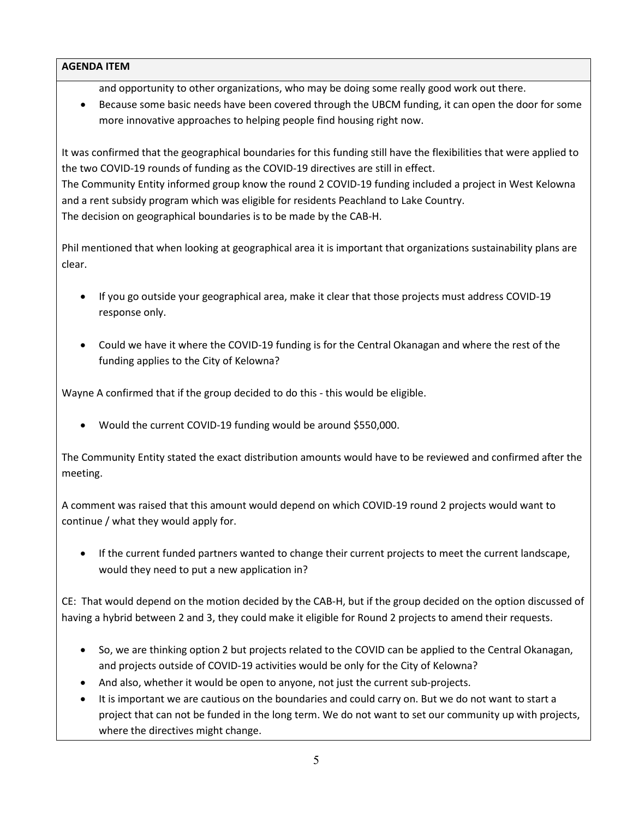and opportunity to other organizations, who may be doing some really good work out there.

• Because some basic needs have been covered through the UBCM funding, it can open the door for some more innovative approaches to helping people find housing right now.

It was confirmed that the geographical boundaries for this funding still have the flexibilities that were applied to the two COVID-19 rounds of funding as the COVID-19 directives are still in effect. The Community Entity informed group know the round 2 COVID-19 funding included a project in West Kelowna and a rent subsidy program which was eligible for residents Peachland to Lake Country. The decision on geographical boundaries is to be made by the CAB-H.

Phil mentioned that when looking at geographical area it is important that organizations sustainability plans are clear.

- If you go outside your geographical area, make it clear that those projects must address COVID-19 response only.
- Could we have it where the COVID-19 funding is for the Central Okanagan and where the rest of the funding applies to the City of Kelowna?

Wayne A confirmed that if the group decided to do this - this would be eligible.

• Would the current COVID-19 funding would be around \$550,000.

The Community Entity stated the exact distribution amounts would have to be reviewed and confirmed after the meeting.

A comment was raised that this amount would depend on which COVID-19 round 2 projects would want to continue / what they would apply for.

• If the current funded partners wanted to change their current projects to meet the current landscape, would they need to put a new application in?

CE: That would depend on the motion decided by the CAB-H, but if the group decided on the option discussed of having a hybrid between 2 and 3, they could make it eligible for Round 2 projects to amend their requests.

- So, we are thinking option 2 but projects related to the COVID can be applied to the Central Okanagan, and projects outside of COVID-19 activities would be only for the City of Kelowna?
- And also, whether it would be open to anyone, not just the current sub-projects.
- It is important we are cautious on the boundaries and could carry on. But we do not want to start a project that can not be funded in the long term. We do not want to set our community up with projects, where the directives might change.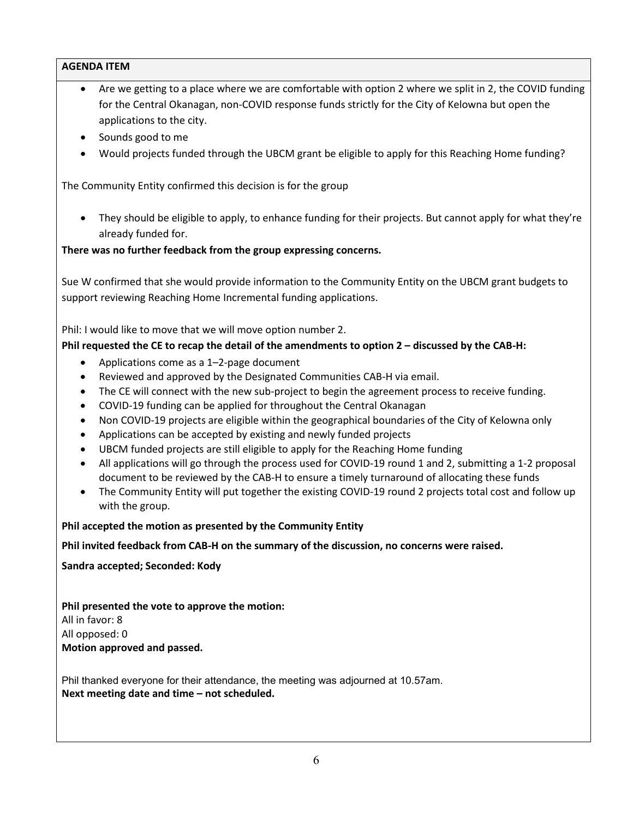- Are we getting to a place where we are comfortable with option 2 where we split in 2, the COVID funding for the Central Okanagan, non-COVID response funds strictly for the City of Kelowna but open the applications to the city.
- Sounds good to me
- Would projects funded through the UBCM grant be eligible to apply for this Reaching Home funding?

The Community Entity confirmed this decision is for the group

• They should be eligible to apply, to enhance funding for their projects. But cannot apply for what they're already funded for.

### **There was no further feedback from the group expressing concerns.**

Sue W confirmed that she would provide information to the Community Entity on the UBCM grant budgets to support reviewing Reaching Home Incremental funding applications.

Phil: I would like to move that we will move option number 2.

### **Phil requested the CE to recap the detail of the amendments to option 2 – discussed by the CAB-H:**

- Applications come as a 1–2-page document
- Reviewed and approved by the Designated Communities CAB-H via email.
- The CE will connect with the new sub-project to begin the agreement process to receive funding.
- COVID-19 funding can be applied for throughout the Central Okanagan
- Non COVID-19 projects are eligible within the geographical boundaries of the City of Kelowna only
- Applications can be accepted by existing and newly funded projects
- UBCM funded projects are still eligible to apply for the Reaching Home funding
- All applications will go through the process used for COVID-19 round 1 and 2, submitting a 1-2 proposal document to be reviewed by the CAB-H to ensure a timely turnaround of allocating these funds
- The Community Entity will put together the existing COVID-19 round 2 projects total cost and follow up with the group.

**Phil accepted the motion as presented by the Community Entity**

#### **Phil invited feedback from CAB-H on the summary of the discussion, no concerns were raised.**

**Sandra accepted; Seconded: Kody**

**Phil presented the vote to approve the motion:** All in favor: 8 All opposed: 0 **Motion approved and passed.**

Phil thanked everyone for their attendance, the meeting was adjourned at 10.57am. **Next meeting date and time – not scheduled.**